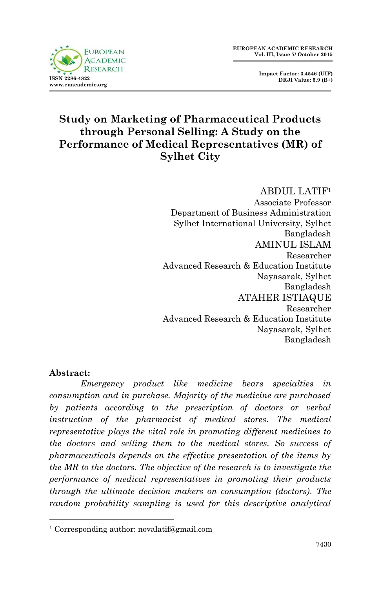

 **Impact Factor: 3.4546 (UIF) DRJI Value: 5.9 (B+)**

# **Study on Marketing of Pharmaceutical Products through Personal Selling: A Study on the Performance of Medical Representatives (MR) of Sylhet City**

ABDUL LATIF<sup>1</sup>

Associate Professor Department of Business Administration Sylhet International University, Sylhet Bangladesh AMINUL ISLAM Researcher Advanced Research & Education Institute Nayasarak, Sylhet Bangladesh ATAHER ISTIAQUE Researcher Advanced Research & Education Institute Nayasarak, Sylhet Bangladesh

### **Abstract:**

1

**ISSN 2396-4839** 

*Emergency product like medicine bears specialties in consumption and in purchase. Majority of the medicine are purchased by patients according to the prescription of doctors or verbal instruction of the pharmacist of medical stores. The medical representative plays the vital role in promoting different medicines to the doctors and selling them to the medical stores. So success of pharmaceuticals depends on the effective presentation of the items by the MR to the doctors. The objective of the research is to investigate the performance of medical representatives in promoting their products through the ultimate decision makers on consumption (doctors). The random probability sampling is used for this descriptive analytical* 

<sup>1</sup> Corresponding author: novalatif@gmail.com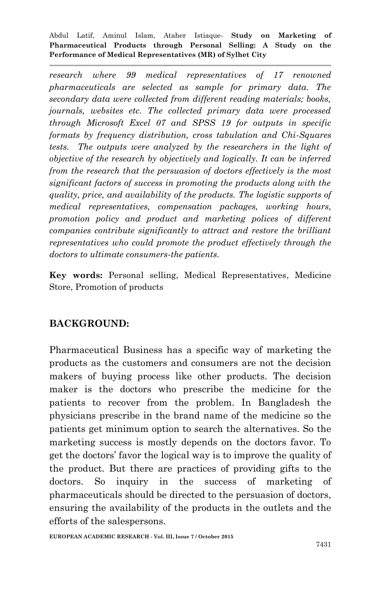*research where 99 medical representatives of 17 renowned pharmaceuticals are selected as sample for primary data. The secondary data were collected from different reading materials; books, journals, websites etc. The collected primary data were processed through Microsoft Excel 07 and SPSS 19 for outputs in specific formats by frequency distribution, cross tabulation and Chi-Squares tests. The outputs were analyzed by the researchers in the light of objective of the research by objectively and logically. It can be inferred from the research that the persuasion of doctors effectively is the most significant factors of success in promoting the products along with the quality, price, and availability of the products. The logistic supports of medical representatives, compensation packages, working hours, promotion policy and product and marketing polices of different companies contribute significantly to attract and restore the brilliant representatives who could promote the product effectively through the doctors to ultimate consumers-the patients.*

**Key words:** Personal selling, Medical Representatives, Medicine Store, Promotion of products

### **BACKGROUND:**

Pharmaceutical Business has a specific way of marketing the products as the customers and consumers are not the decision makers of buying process like other products. The decision maker is the doctors who prescribe the medicine for the patients to recover from the problem. In Bangladesh the physicians prescribe in the brand name of the medicine so the patients get minimum option to search the alternatives. So the marketing success is mostly depends on the doctors favor. To get the doctors' favor the logical way is to improve the quality of the product. But there are practices of providing gifts to the doctors. So inquiry in the success of marketing of pharmaceuticals should be directed to the persuasion of doctors, ensuring the availability of the products in the outlets and the efforts of the salespersons.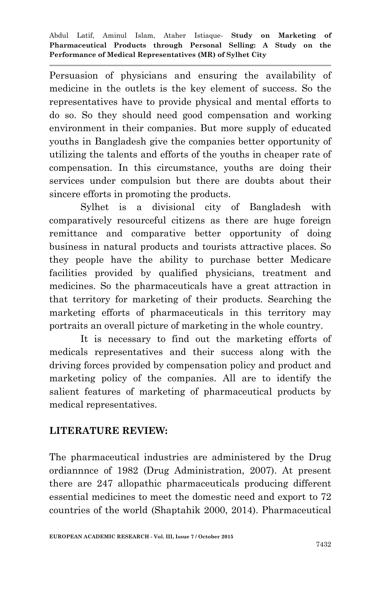Persuasion of physicians and ensuring the availability of medicine in the outlets is the key element of success. So the representatives have to provide physical and mental efforts to do so. So they should need good compensation and working environment in their companies. But more supply of educated youths in Bangladesh give the companies better opportunity of utilizing the talents and efforts of the youths in cheaper rate of compensation. In this circumstance, youths are doing their services under compulsion but there are doubts about their sincere efforts in promoting the products.

Sylhet is a divisional city of Bangladesh with comparatively resourceful citizens as there are huge foreign remittance and comparative better opportunity of doing business in natural products and tourists attractive places. So they people have the ability to purchase better Medicare facilities provided by qualified physicians, treatment and medicines. So the pharmaceuticals have a great attraction in that territory for marketing of their products. Searching the marketing efforts of pharmaceuticals in this territory may portraits an overall picture of marketing in the whole country.

It is necessary to find out the marketing efforts of medicals representatives and their success along with the driving forces provided by compensation policy and product and marketing policy of the companies. All are to identify the salient features of marketing of pharmaceutical products by medical representatives.

### **LITERATURE REVIEW:**

The pharmaceutical industries are administered by the Drug ordiannnce of 1982 (Drug Administration, 2007). At present there are 247 allopathic pharmaceuticals producing different essential medicines to meet the domestic need and export to 72 countries of the world (Shaptahik 2000, 2014). Pharmaceutical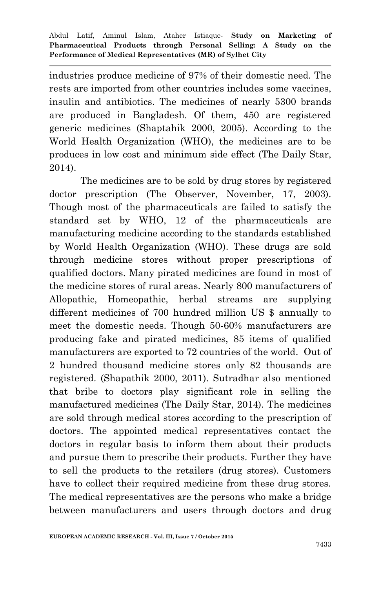industries produce medicine of 97% of their domestic need. The rests are imported from other countries includes some vaccines, insulin and antibiotics. The medicines of nearly 5300 brands are produced in Bangladesh. Of them, 450 are registered generic medicines (Shaptahik 2000, 2005). According to the World Health Organization (WHO), the medicines are to be produces in low cost and minimum side effect (The Daily Star, 2014).

The medicines are to be sold by drug stores by registered doctor prescription (The Observer, November, 17, 2003). Though most of the pharmaceuticals are failed to satisfy the standard set by WHO, 12 of the pharmaceuticals are manufacturing medicine according to the standards established by World Health Organization (WHO). These drugs are sold through medicine stores without proper prescriptions of qualified doctors. Many pirated medicines are found in most of the medicine stores of rural areas. Nearly 800 manufacturers of Allopathic, Homeopathic, herbal streams are supplying different medicines of 700 hundred million US \$ annually to meet the domestic needs. Though 50-60% manufacturers are producing fake and pirated medicines, 85 items of qualified manufacturers are exported to 72 countries of the world. Out of 2 hundred thousand medicine stores only 82 thousands are registered. (Shapathik 2000, 2011). Sutradhar also mentioned that bribe to doctors play significant role in selling the manufactured medicines (The Daily Star, 2014). The medicines are sold through medical stores according to the prescription of doctors. The appointed medical representatives contact the doctors in regular basis to inform them about their products and pursue them to prescribe their products. Further they have to sell the products to the retailers (drug stores). Customers have to collect their required medicine from these drug stores. The medical representatives are the persons who make a bridge between manufacturers and users through doctors and drug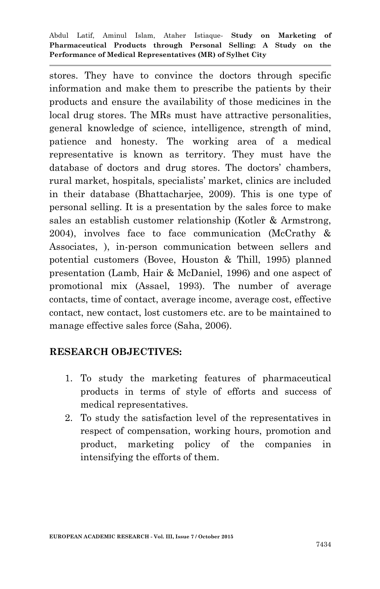stores. They have to convince the doctors through specific information and make them to prescribe the patients by their products and ensure the availability of those medicines in the local drug stores. The MRs must have attractive personalities, general knowledge of science, intelligence, strength of mind, patience and honesty. The working area of a medical representative is known as territory. They must have the database of doctors and drug stores. The doctors' chambers, rural market, hospitals, specialists' market, clinics are included in their database (Bhattacharjee, 2009). This is one type of personal selling. It is a presentation by the sales force to make sales an establish customer relationship (Kotler & Armstrong, 2004), involves face to face communication (McCrathy & Associates, ), in-person communication between sellers and potential customers (Bovee, Houston & Thill, 1995) planned presentation (Lamb, Hair & McDaniel, 1996) and one aspect of promotional mix (Assael, 1993). The number of average contacts, time of contact, average income, average cost, effective contact, new contact, lost customers etc. are to be maintained to manage effective sales force (Saha, 2006).

### **RESEARCH OBJECTIVES:**

- 1. To study the marketing features of pharmaceutical products in terms of style of efforts and success of medical representatives.
- 2. To study the satisfaction level of the representatives in respect of compensation, working hours, promotion and product, marketing policy of the companies in intensifying the efforts of them.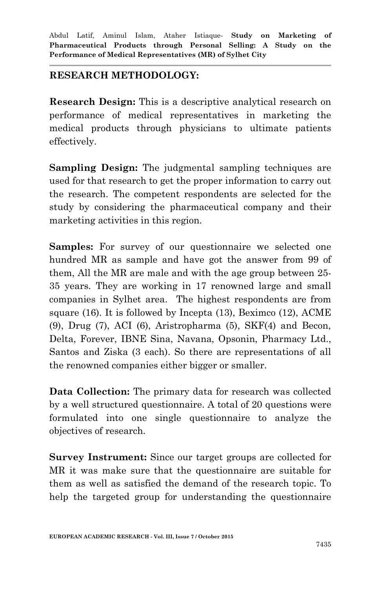### **RESEARCH METHODOLOGY:**

**Research Design:** This is a descriptive analytical research on performance of medical representatives in marketing the medical products through physicians to ultimate patients effectively.

**Sampling Design:** The judgmental sampling techniques are used for that research to get the proper information to carry out the research. The competent respondents are selected for the study by considering the pharmaceutical company and their marketing activities in this region.

**Samples:** For survey of our questionnaire we selected one hundred MR as sample and have got the answer from 99 of them, All the MR are male and with the age group between 25- 35 years. They are working in 17 renowned large and small companies in Sylhet area. The highest respondents are from square (16). It is followed by Incepta (13), Beximco (12), ACME (9), Drug (7), ACI (6), Aristropharma (5), SKF(4) and Becon, Delta, Forever, IBNE Sina, Navana, Opsonin, Pharmacy Ltd., Santos and Ziska (3 each). So there are representations of all the renowned companies either bigger or smaller.

**Data Collection:** The primary data for research was collected by a well structured questionnaire. A total of 20 questions were formulated into one single questionnaire to analyze the objectives of research.

**Survey Instrument:** Since our target groups are collected for MR it was make sure that the questionnaire are suitable for them as well as satisfied the demand of the research topic. To help the targeted group for understanding the questionnaire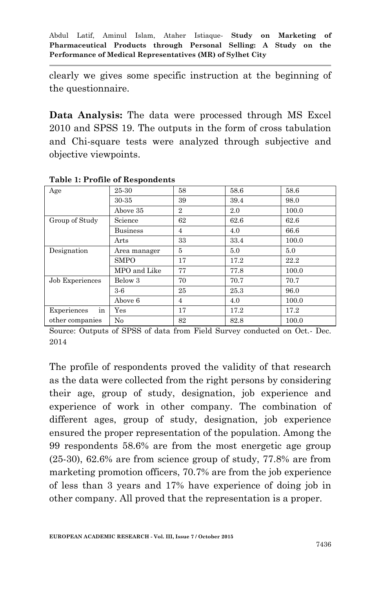clearly we gives some specific instruction at the beginning of the questionnaire.

**Data Analysis:** The data were processed through MS Excel 2010 and SPSS 19. The outputs in the form of cross tabulation and Chi-square tests were analyzed through subjective and objective viewpoints.

| Age               | 25-30                | 58             | 58.6 | 58.6  |
|-------------------|----------------------|----------------|------|-------|
|                   | 30-35                | 39             | 39.4 | 98.0  |
|                   | Above 35             | $\overline{2}$ | 2.0  | 100.0 |
| Group of Study    | Science              | 62             | 62.6 | 62.6  |
|                   | <b>Business</b>      | $\overline{4}$ | 4.0  | 66.6  |
|                   | Arts                 | 33             | 33.4 | 100.0 |
| Designation       | Area manager         | 5              | 5.0  | 5.0   |
|                   | <b>SMPO</b>          | 17             | 17.2 | 22.2  |
|                   | MPO and Like         | 77             | 77.8 | 100.0 |
| Job Experiences   | Below 3              | 70             | 70.7 | 70.7  |
|                   | $3-6$                | 25             | 25.3 | 96.0  |
|                   | Above 6              | 4              | 4.0  | 100.0 |
| in<br>Experiences | $\operatorname{Yes}$ | 17             | 17.2 | 17.2  |
| other companies   | $\rm No$             | 82             | 82.8 | 100.0 |

#### **Table 1: Profile of Respondents**

Source: Outputs of SPSS of data from Field Survey conducted on Oct.- Dec. 2014

The profile of respondents proved the validity of that research as the data were collected from the right persons by considering their age, group of study, designation, job experience and experience of work in other company. The combination of different ages, group of study, designation, job experience ensured the proper representation of the population. Among the 99 respondents 58.6% are from the most energetic age group (25-30), 62.6% are from science group of study, 77.8% are from marketing promotion officers, 70.7% are from the job experience of less than 3 years and 17% have experience of doing job in other company. All proved that the representation is a proper.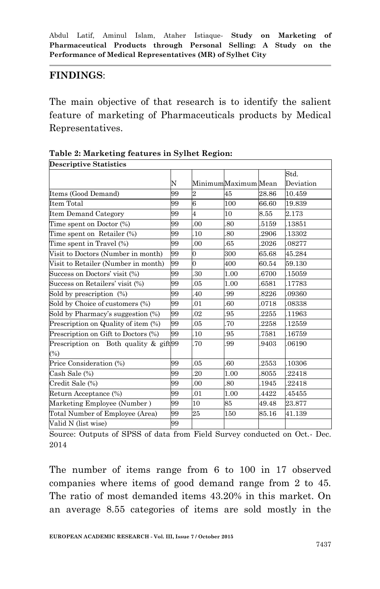## **FINDINGS**:

The main objective of that research is to identify the salient feature of marketing of Pharmaceuticals products by Medical Representatives.

| <b>Descriptive Statistics</b>             |    |                |                     |       |           |
|-------------------------------------------|----|----------------|---------------------|-------|-----------|
|                                           |    |                |                     |       | Std.      |
|                                           | N  |                | MinimumMaximum Mean |       | Deviation |
| 99<br>Items (Good Demand)                 |    | $\overline{2}$ | 45                  | 28.86 | 10.459    |
| Item Total                                | 99 | 6              | 100                 | 66.60 | 19.839    |
| <b>Item Demand Category</b>               | 99 | $\overline{4}$ | 10                  | 8.55  | 2.173     |
| Time spent on Doctor (%)                  | 99 | 00             | .80                 | 5159  | .13851    |
| Time spent on Retailer (%)                | 99 | .10            | .80                 | 2906  | 13302     |
| Time spent in Travel (%)                  | 99 | 00             | 65                  | 2026  | .08277    |
| Visit to Doctors (Number in month)        | 99 | $\Omega$       | 300                 | 65.68 | 45.284    |
| Visit to Retailer (Number in month)       | 99 | $\Omega$       | 400                 | 60.54 | 59.130    |
| Success on Doctors' visit (%)             | 99 | 30             | 1.00                | 6700  | .15059    |
| Success on Retailers' visit (%)           | 99 | 05             | 1.00                | 6581  | .17783    |
| Sold by prescription (%)                  | 99 | 40             | .99                 | 8226  | 09360     |
| Sold by Choice of customers (%)           | 99 | 01             | .60                 | 0718  | 08338     |
| Sold by Pharmacy's suggestion (%)         | 99 | 02             | 95                  | 2255  | 11963     |
| Prescription on Quality of item (%)<br>99 |    | 05             | 70                  | 2258  | .12559    |
| Prescription on Gift to Doctors (%)       | 99 | 10             | .95                 | 7581  | 16759     |
| Prescription on Both quality & gift 99    |    | .70            | .99                 | 9403  | 06190     |
| $(\%)$                                    |    |                |                     |       |           |
| Price Consideration (%)                   | 99 | 05             | 60                  | 2553  | .10306    |
| Cash Sale (%)                             | 99 | 20             | 1.00                | 8055  | 22418     |
| Credit Sale (%)                           | 99 | 00             | .80                 | 1945  | 22418     |
| Return Acceptance (%)<br>99               |    | 01             | 1.00                | 4422  | 45455     |
| Marketing Employee (Number)<br>99         |    | 10             | 85                  | 49.48 | 23.877    |
| Total Number of Employee (Area)<br>99     |    | 25             | 150                 | 85.16 | 41.139    |
| Valid N (list wise)<br>99                 |    |                |                     |       |           |

**Table 2: Marketing features in Sylhet Region:** 

Source: Outputs of SPSS of data from Field Survey conducted on Oct.- Dec. 2014

The number of items range from 6 to 100 in 17 observed companies where items of good demand range from 2 to 45. The ratio of most demanded items 43.20% in this market. On an average 8.55 categories of items are sold mostly in the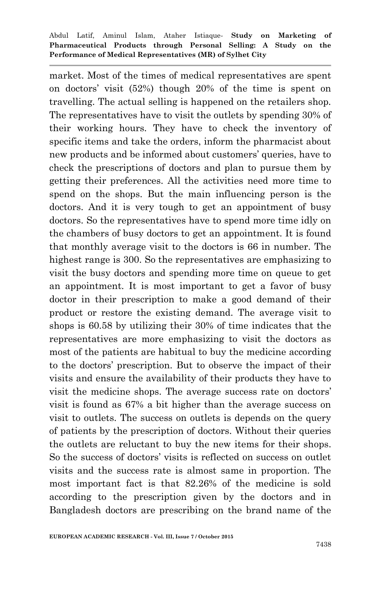market. Most of the times of medical representatives are spent on doctors' visit (52%) though 20% of the time is spent on travelling. The actual selling is happened on the retailers shop. The representatives have to visit the outlets by spending 30% of their working hours. They have to check the inventory of specific items and take the orders, inform the pharmacist about new products and be informed about customers' queries, have to check the prescriptions of doctors and plan to pursue them by getting their preferences. All the activities need more time to spend on the shops. But the main influencing person is the doctors. And it is very tough to get an appointment of busy doctors. So the representatives have to spend more time idly on the chambers of busy doctors to get an appointment. It is found that monthly average visit to the doctors is 66 in number. The highest range is 300. So the representatives are emphasizing to visit the busy doctors and spending more time on queue to get an appointment. It is most important to get a favor of busy doctor in their prescription to make a good demand of their product or restore the existing demand. The average visit to shops is 60.58 by utilizing their 30% of time indicates that the representatives are more emphasizing to visit the doctors as most of the patients are habitual to buy the medicine according to the doctors' prescription. But to observe the impact of their visits and ensure the availability of their products they have to visit the medicine shops. The average success rate on doctors' visit is found as 67% a bit higher than the average success on visit to outlets. The success on outlets is depends on the query of patients by the prescription of doctors. Without their queries the outlets are reluctant to buy the new items for their shops. So the success of doctors' visits is reflected on success on outlet visits and the success rate is almost same in proportion. The most important fact is that 82.26% of the medicine is sold according to the prescription given by the doctors and in Bangladesh doctors are prescribing on the brand name of the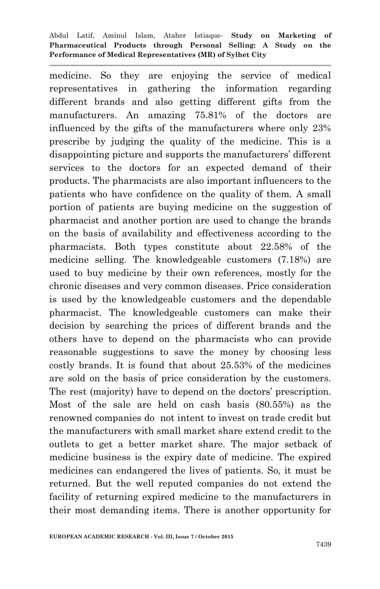medicine. So they are enjoying the service of medical representatives in gathering the information regarding different brands and also getting different gifts from the manufacturers. An amazing 75.81% of the doctors are influenced by the gifts of the manufacturers where only 23% prescribe by judging the quality of the medicine. This is a disappointing picture and supports the manufacturers' different services to the doctors for an expected demand of their products. The pharmacists are also important influencers to the patients who have confidence on the quality of them. A small portion of patients are buying medicine on the suggestion of pharmacist and another portion are used to change the brands on the basis of availability and effectiveness according to the pharmacists. Both types constitute about 22.58% of the medicine selling. The knowledgeable customers (7.18%) are used to buy medicine by their own references, mostly for the chronic diseases and very common diseases. Price consideration is used by the knowledgeable customers and the dependable pharmacist. The knowledgeable customers can make their decision by searching the prices of different brands and the others have to depend on the pharmacists who can provide reasonable suggestions to save the money by choosing less costly brands. It is found that about 25.53% of the medicines are sold on the basis of price consideration by the customers. The rest (majority) have to depend on the doctors' prescription. Most of the sale are held on cash basis (80.55%) as the renowned companies do not intent to invest on trade credit but the manufacturers with small market share extend credit to the outlets to get a better market share. The major setback of medicine business is the expiry date of medicine. The expired medicines can endangered the lives of patients. So, it must be returned. But the well reputed companies do not extend the facility of returning expired medicine to the manufacturers in their most demanding items. There is another opportunity for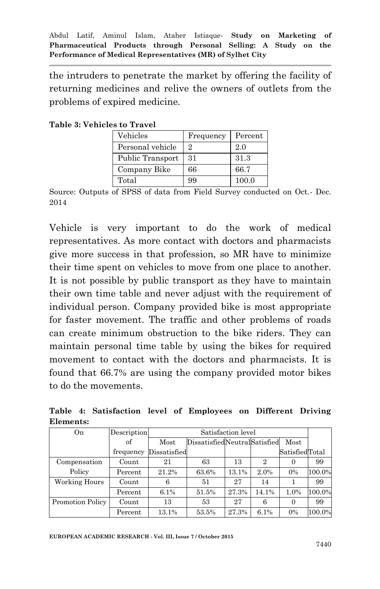the intruders to penetrate the market by offering the facility of returning medicines and relive the owners of outlets from the problems of expired medicine.

| Vehicles         | Frequency | Percent |  |  |  |  |
|------------------|-----------|---------|--|--|--|--|
| Personal vehicle | 2.        | 2.0     |  |  |  |  |
| Public Transport | 31        | 31.3    |  |  |  |  |
| Company Bike     | 66        | 66.7    |  |  |  |  |
| Total            | 99        | 100.0   |  |  |  |  |

**Table 3: Vehicles to Travel** 

Source: Outputs of SPSS of data from Field Survey conducted on Oct.- Dec. 2014

Vehicle is very important to do the work of medical representatives. As more contact with doctors and pharmacists give more success in that profession, so MR have to minimize their time spent on vehicles to move from one place to another. It is not possible by public transport as they have to maintain their own time table and never adjust with the requirement of individual person. Company provided bike is most appropriate for faster movement. The traffic and other problems of roads can create minimum obstruction to the bike riders. They can maintain personal time table by using the bikes for required movement to contact with the doctors and pharmacists. It is found that 66.7% are using the company provided motor bikes to do the movements.

**Table 4: Satisfaction level of Employees on Different Driving Elements:**

| On               | Description | Satisfaction level |                                      |       |                |                |        |
|------------------|-------------|--------------------|--------------------------------------|-------|----------------|----------------|--------|
|                  | of          | Most               | DissatisfiedNeutralSatisfied<br>Most |       |                |                |        |
|                  | frequency   | Dissatisfied       |                                      |       |                | SatisfiedTotal |        |
| Compensation     | Count       | 21                 | 63                                   | 13    | $\overline{2}$ |                | 99     |
| Policy           | Percent     | 21.2%              | 63.6%                                | 13.1% | 2.0%           | 0%             | 100.0% |
| Working Hours    | Count       |                    | 51                                   | 27    | 14             |                | 99     |
|                  | Percent     | 6.1%               | 51.5%                                | 27.3% | 14.1%          | 1.0%           | 100.0% |
| Promotion Policy | Count       | 13                 | 53                                   | 27    | 6              | $\Omega$       | 99     |
|                  | Percent     | 13.1%              | 53.5%                                | 27.3% | 6.1%           | 0%             | 100.0% |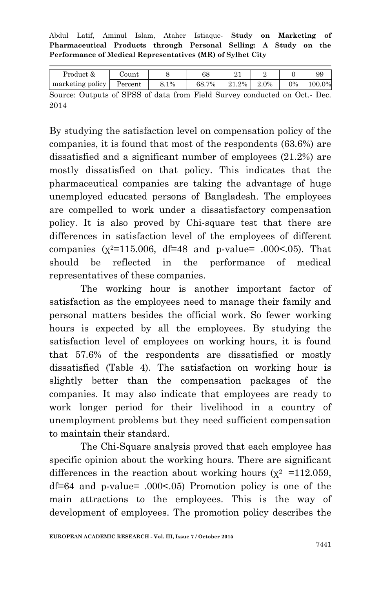Abdul Latif, Aminul Islam, Ataher Istiaque*-* **Study on Marketing of Pharmaceutical Products through Personal Selling: A Study on the Performance of Medical Representatives (MR) of Sylhet City**

| Product &                                                                  | Count   |      | 68    |  |               |       | 99     |
|----------------------------------------------------------------------------|---------|------|-------|--|---------------|-------|--------|
| marketing policy                                                           | Percent | 8.1% | 68.7% |  | $21.2\%$ 2.0% | $0\%$ | 100.0% |
| Source: Outputs of SPSS of data from Field Survey conducted on Oct. - Dec. |         |      |       |  |               |       |        |

2014

By studying the satisfaction level on compensation policy of the companies, it is found that most of the respondents (63.6%) are dissatisfied and a significant number of employees (21.2%) are mostly dissatisfied on that policy. This indicates that the pharmaceutical companies are taking the advantage of huge unemployed educated persons of Bangladesh. The employees are compelled to work under a dissatisfactory compensation policy. It is also proved by Chi-square test that there are differences in satisfaction level of the employees of different companies  $(x^2=115.006, df=48$  and p-value= .000<.05). That should be reflected in the performance of medical representatives of these companies.

The working hour is another important factor of satisfaction as the employees need to manage their family and personal matters besides the official work. So fewer working hours is expected by all the employees. By studying the satisfaction level of employees on working hours, it is found that 57.6% of the respondents are dissatisfied or mostly dissatisfied (Table 4). The satisfaction on working hour is slightly better than the compensation packages of the companies. It may also indicate that employees are ready to work longer period for their livelihood in a country of unemployment problems but they need sufficient compensation to maintain their standard.

The Chi-Square analysis proved that each employee has specific opinion about the working hours. There are significant differences in the reaction about working hours ( $\chi^2$  =112.059, df=64 and p-value= .000<.05) Promotion policy is one of the main attractions to the employees. This is the way of development of employees. The promotion policy describes the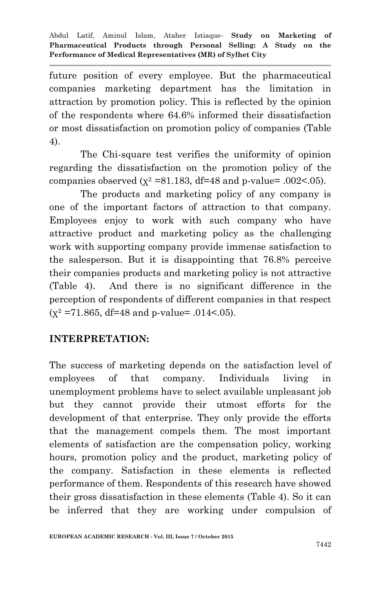future position of every employee. But the pharmaceutical companies marketing department has the limitation in attraction by promotion policy. This is reflected by the opinion of the respondents where 64.6% informed their dissatisfaction or most dissatisfaction on promotion policy of companies (Table 4).

The Chi-square test verifies the uniformity of opinion regarding the dissatisfaction on the promotion policy of the companies observed ( $\chi^2$  =81.183, df=48 and p-value= .002<.05).

The products and marketing policy of any company is one of the important factors of attraction to that company. Employees enjoy to work with such company who have attractive product and marketing policy as the challenging work with supporting company provide immense satisfaction to the salesperson. But it is disappointing that 76.8% perceive their companies products and marketing policy is not attractive (Table 4). And there is no significant difference in the perception of respondents of different companies in that respect  $(x^2 = 71.865, df = 48$  and p-value= .014<.05).

### **INTERPRETATION:**

The success of marketing depends on the satisfaction level of employees of that company. Individuals living in unemployment problems have to select available unpleasant job but they cannot provide their utmost efforts for the development of that enterprise. They only provide the efforts that the management compels them. The most important elements of satisfaction are the compensation policy, working hours, promotion policy and the product, marketing policy of the company. Satisfaction in these elements is reflected performance of them. Respondents of this research have showed their gross dissatisfaction in these elements (Table 4). So it can be inferred that they are working under compulsion of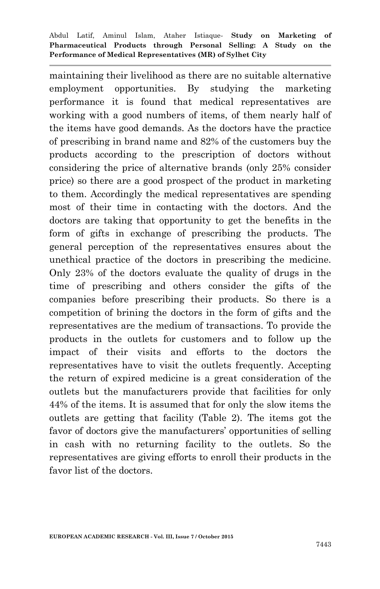maintaining their livelihood as there are no suitable alternative employment opportunities. By studying the marketing performance it is found that medical representatives are working with a good numbers of items, of them nearly half of the items have good demands. As the doctors have the practice of prescribing in brand name and 82% of the customers buy the products according to the prescription of doctors without considering the price of alternative brands (only 25% consider price) so there are a good prospect of the product in marketing to them. Accordingly the medical representatives are spending most of their time in contacting with the doctors. And the doctors are taking that opportunity to get the benefits in the form of gifts in exchange of prescribing the products. The general perception of the representatives ensures about the unethical practice of the doctors in prescribing the medicine. Only 23% of the doctors evaluate the quality of drugs in the time of prescribing and others consider the gifts of the companies before prescribing their products. So there is a competition of brining the doctors in the form of gifts and the representatives are the medium of transactions. To provide the products in the outlets for customers and to follow up the impact of their visits and efforts to the doctors the representatives have to visit the outlets frequently. Accepting the return of expired medicine is a great consideration of the outlets but the manufacturers provide that facilities for only 44% of the items. It is assumed that for only the slow items the outlets are getting that facility (Table 2). The items got the favor of doctors give the manufacturers' opportunities of selling in cash with no returning facility to the outlets. So the representatives are giving efforts to enroll their products in the favor list of the doctors.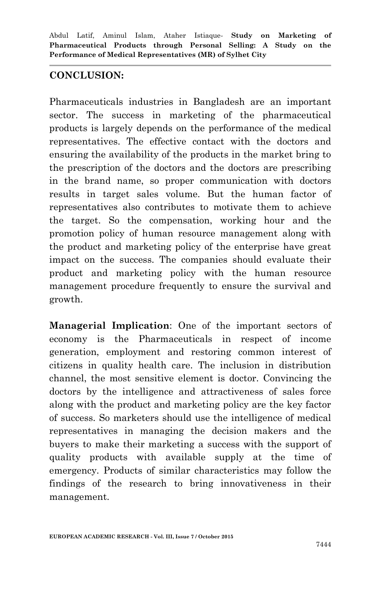### **CONCLUSION:**

Pharmaceuticals industries in Bangladesh are an important sector. The success in marketing of the pharmaceutical products is largely depends on the performance of the medical representatives. The effective contact with the doctors and ensuring the availability of the products in the market bring to the prescription of the doctors and the doctors are prescribing in the brand name, so proper communication with doctors results in target sales volume. But the human factor of representatives also contributes to motivate them to achieve the target. So the compensation, working hour and the promotion policy of human resource management along with the product and marketing policy of the enterprise have great impact on the success. The companies should evaluate their product and marketing policy with the human resource management procedure frequently to ensure the survival and growth.

**Managerial Implication**: One of the important sectors of economy is the Pharmaceuticals in respect of income generation, employment and restoring common interest of citizens in quality health care. The inclusion in distribution channel, the most sensitive element is doctor. Convincing the doctors by the intelligence and attractiveness of sales force along with the product and marketing policy are the key factor of success. So marketers should use the intelligence of medical representatives in managing the decision makers and the buyers to make their marketing a success with the support of quality products with available supply at the time of emergency. Products of similar characteristics may follow the findings of the research to bring innovativeness in their management.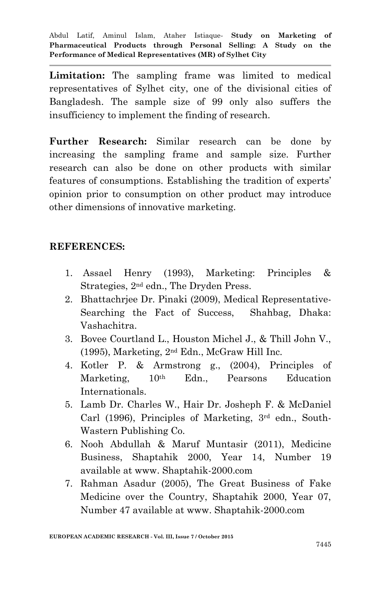**Limitation:** The sampling frame was limited to medical representatives of Sylhet city, one of the divisional cities of Bangladesh. The sample size of 99 only also suffers the insufficiency to implement the finding of research.

**Further Research:** Similar research can be done by increasing the sampling frame and sample size. Further research can also be done on other products with similar features of consumptions. Establishing the tradition of experts' opinion prior to consumption on other product may introduce other dimensions of innovative marketing.

### **REFERENCES:**

- 1. Assael Henry (1993), Marketing: Principles & Strategies, 2nd edn., The Dryden Press.
- 2. Bhattachrjee Dr. Pinaki (2009), Medical Representative-Searching the Fact of Success, Shahbag, Dhaka: Vashachitra.
- 3. Bovee Courtland L., Houston Michel J., & Thill John V., (1995), Marketing, 2nd Edn., McGraw Hill Inc.
- 4. Kotler P. & Armstrong g., (2004), Principles of Marketing, 10th Edn., Pearsons Education Internationals.
- 5. Lamb Dr. Charles W., Hair Dr. Josheph F. & McDaniel Carl (1996), Principles of Marketing, 3rd edn., South-Wastern Publishing Co.
- 6. Nooh Abdullah & Maruf Muntasir (2011), Medicine Business, Shaptahik 2000, Year 14, Number 19 available at www. Shaptahik-2000.com
- 7. Rahman Asadur (2005), The Great Business of Fake Medicine over the Country, Shaptahik 2000, Year 07, Number 47 available at www. Shaptahik-2000.com